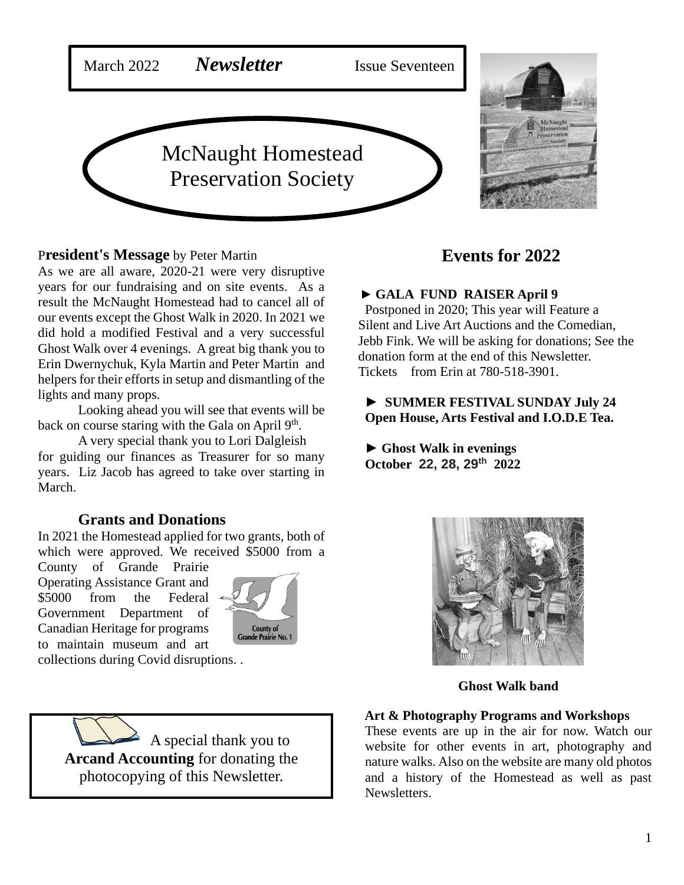

#### P**resident's Message** by Peter Martin

As we are all aware, 2020-21 were very disruptive years for our fundraising and on site events. As a result the McNaught Homestead had to cancel all of our events except the Ghost Walk in 2020. In 2021 we did hold a modified Festival and a very successful Ghost Walk over 4 evenings. A great big thank you to Erin Dwernychuk, Kyla Martin and Peter Martin and helpers for their efforts in setup and dismantling of the lights and many props.

Looking ahead you will see that events will be back on course staring with the Gala on April 9<sup>th</sup>.

A very special thank you to Lori Dalgleish for guiding our finances as Treasurer for so many years. Liz Jacob has agreed to take over starting in March.

### **Grants and Donations**

In 2021 the Homestead applied for two grants, both of which were approved. We received \$5000 from a

County of Grande Prairie Operating Assistance Grant and \$5000 from the Federal Government Department of Canadian Heritage for programs to maintain museum and art



collections during Covid disruptions. .

 A special thank you to **Arcand Accounting** for donating the photocopying of this Newsletter.

# **Events for 2022**

#### ► **GALA FUND RAISER April 9**

Postponed in 2020; This year will Feature a Silent and Live Art Auctions and the Comedian, Jebb Fink. We will be asking for donations; See the donation form at the end of this Newsletter. Tickets from Erin at 780-518-3901.

### ► **SUMMER FESTIVAL SUNDAY July 24 Open House, Arts Festival and I.O.D.E Tea.**

► **Ghost Walk in evenings October 22, 28, 29th 2022**



**Ghost Walk band**

#### **Art & Photography Programs and Workshops**

These events are up in the air for now. Watch our website for other events in art, photography and nature walks. Also on the website are many old photos and a history of the Homestead as well as past Newsletters.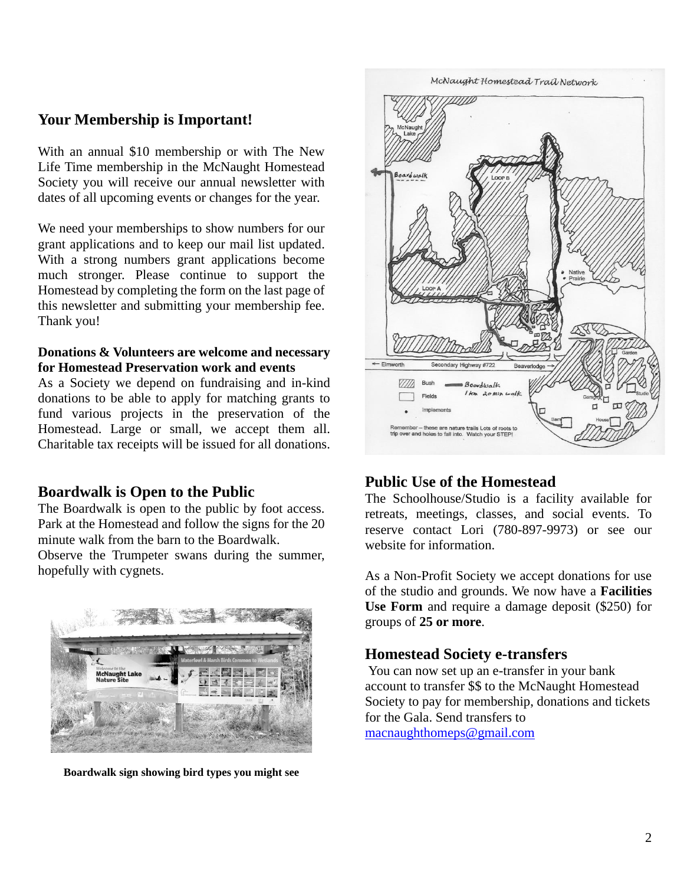## **Your Membership is Important!**

With an annual \$10 membership or with The New Life Time membership in the McNaught Homestead Society you will receive our annual newsletter with dates of all upcoming events or changes for the year.

We need your memberships to show numbers for our grant applications and to keep our mail list updated. With a strong numbers grant applications become much stronger. Please continue to support the Homestead by completing the form on the last page of this newsletter and submitting your membership fee. Thank you!

#### **Donations & Volunteers are welcome and necessary for Homestead Preservation work and events**

As a Society we depend on fundraising and in-kind donations to be able to apply for matching grants to fund various projects in the preservation of the Homestead. Large or small, we accept them all. Charitable tax receipts will be issued for all donations.

### **Boardwalk is Open to the Public**

The Boardwalk is open to the public by foot access. Park at the Homestead and follow the signs for the 20 minute walk from the barn to the Boardwalk. Observe the Trumpeter swans during the summer, hopefully with cygnets.



**Boardwalk sign showing bird types you might see**



## **Public Use of the Homestead**

The Schoolhouse/Studio is a facility available for retreats, meetings, classes, and social events. To reserve contact Lori (780-897-9973) or see our website for information.

As a Non-Profit Society we accept donations for use of the studio and grounds. We now have a **Facilities Use Form** and require a damage deposit (\$250) for groups of **25 or more**.

#### **Homestead Society e-transfers**

You can now set up an e-transfer in your bank account to transfer \$\$ to the McNaught Homestead Society to pay for membership, donations and tickets for the Gala. Send transfers to macnaughthomeps@gmail.com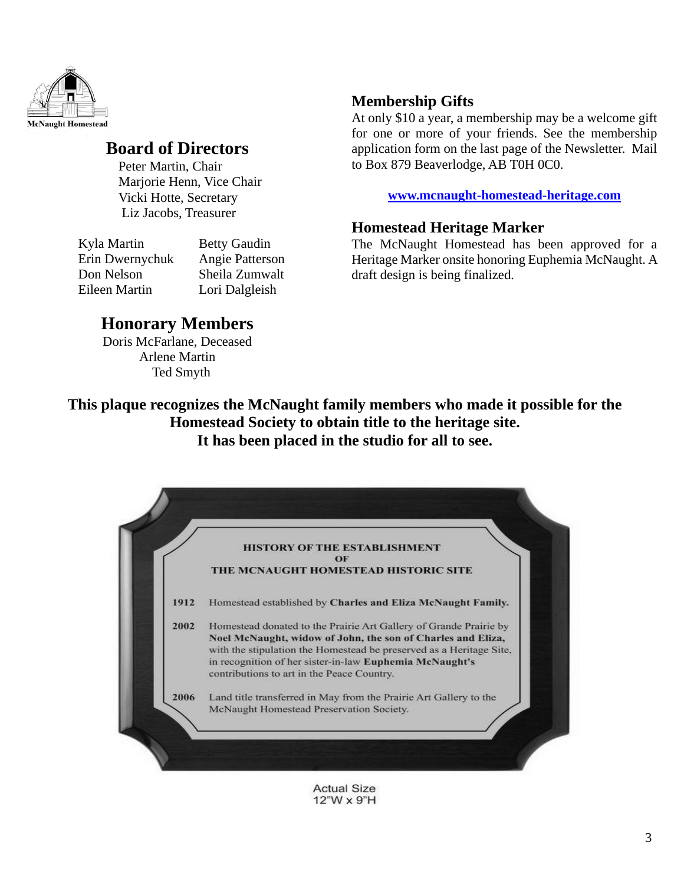

# **Board of Directors**

Peter Martin, Chair Marjorie Henn, Vice Chair Vicki Hotte, Secretary Liz Jacobs, Treasurer

| Kyla Martin     | <b>Betty Gaudin</b> |
|-----------------|---------------------|
| Erin Dwernychuk | Angie Patterson     |
| Don Nelson      | Sheila Zumwalt      |
| Eileen Martin   | Lori Dalgleish      |

# **Membership Gifts**

At only \$10 a year, a membership may be a welcome gift for one or more of your friends. See the membership application form on the last page of the Newsletter. Mail to Box 879 Beaverlodge, AB T0H 0C0.

**www.mcnaught-homestead-heritage.com**

## **Homestead Heritage Marker**

The McNaught Homestead has been approved for a Heritage Marker onsite honoring Euphemia McNaught. A draft design is being finalized.

# **Honorary Members**

Doris McFarlane, Deceased Arlene Martin Ted Smyth

**This plaque recognizes the McNaught family members who made it possible for the Homestead Society to obtain title to the heritage site. It has been placed in the studio for all to see.**



**Actual Size** 12"W x 9"H